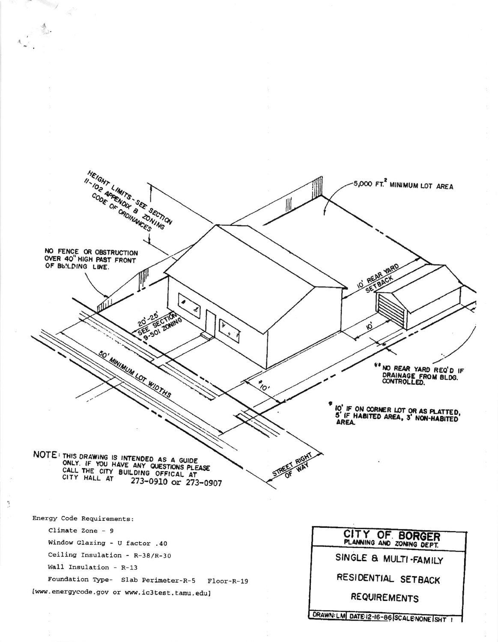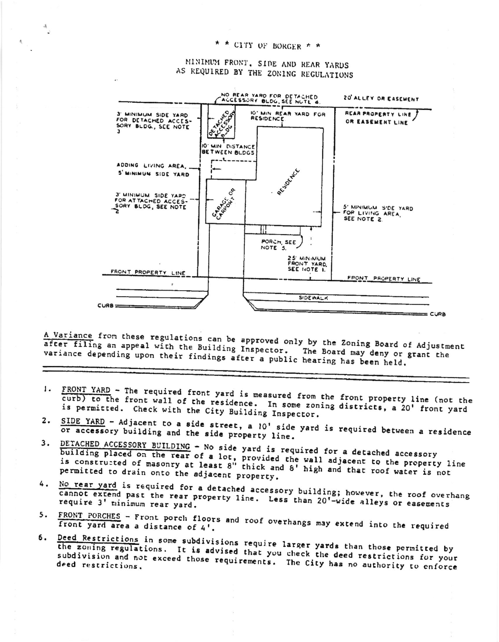## \* \* CITY OF BORGER \* \*

 $\mathcal{A}_t$ 

MINIMUM FRONT, SIDE AND REAR YARDS AS REQUIRED BY THE ZONING REGULATIONS



A Variance from these regulations can be approved only by the Zoning Board of Adjustment after filling an appeal with the Building Inspector. The Board may deny or grant the variance depending upon their findings after a public hearing has been held.

- 1. FRONT YARD The required front yard is measured from the front property line (not the curb) to the front wall of the residence. In some zoning districts, a 20' front yard is permitted. Check with the City Building Inspector.
- 2. SIDE YARD Adjacent to a side street, a 10' side yard is required between a residence or accessory building and the side property line.
- DETACHED ACCESSORY BUILDING No side yard is required for a detached accessory 3. building placed on the rear of a lot, provided the wall adjacent to the property line<br>is constructed of masonry at least 8" thick and 8' high and that roof water is not permitted to drain onto the adjacent property.
- No rear yard is required for a detached accessory building; however, the roof overhang 4. cannot extend past the rear property line. Less than 20'-wide alleys or easements require 3' minimum rear yard.
- FRONT PORCHES Front porch floors and roof overhangs may extend into the required  $5.$
- 6. Deed Restrictions in some subdivisions require larger yards than those permitted by the zoning regulations. It is advised that you check the deed restrictions for your subdivision and not exceed those requirements. The City has no authority to enforce